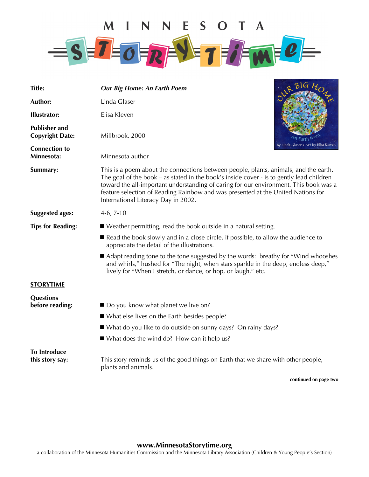

| <b>Title:</b>                                  | <b>Our Big Home: An Earth Poem</b>                                                                                                                                                                                                                                                                                                                                                                   | B G                                   |  |
|------------------------------------------------|------------------------------------------------------------------------------------------------------------------------------------------------------------------------------------------------------------------------------------------------------------------------------------------------------------------------------------------------------------------------------------------------------|---------------------------------------|--|
| Author:                                        | Linda Glaser                                                                                                                                                                                                                                                                                                                                                                                         |                                       |  |
| <b>Illustrator:</b>                            | Elisa Kleven                                                                                                                                                                                                                                                                                                                                                                                         |                                       |  |
| <b>Publisher and</b><br><b>Copyright Date:</b> | Millbrook, 2000                                                                                                                                                                                                                                                                                                                                                                                      |                                       |  |
| <b>Connection to</b><br>Minnesota:             | Minnesota author                                                                                                                                                                                                                                                                                                                                                                                     | By∙Linda Glaser ★ Art by Elisa Kleven |  |
| Summary:                                       | This is a poem about the connections between people, plants, animals, and the earth.<br>The goal of the book – as stated in the book's inside cover - is to gently lead children<br>toward the all-important understanding of caring for our environment. This book was a<br>feature selection of Reading Rainbow and was presented at the United Nations for<br>International Literacy Day in 2002. |                                       |  |
| <b>Suggested ages:</b>                         | $4-6, 7-10$                                                                                                                                                                                                                                                                                                                                                                                          |                                       |  |
| <b>Tips for Reading:</b>                       | ■ Weather permitting, read the book outside in a natural setting.                                                                                                                                                                                                                                                                                                                                    |                                       |  |
|                                                | Read the book slowly and in a close circle, if possible, to allow the audience to<br>appreciate the detail of the illustrations.                                                                                                                                                                                                                                                                     |                                       |  |
|                                                | ■ Adapt reading tone to the tone suggested by the words: breathy for "Wind whooshes<br>and whirls," hushed for "The night, when stars sparkle in the deep, endless deep,"<br>lively for "When I stretch, or dance, or hop, or laugh," etc.                                                                                                                                                           |                                       |  |
| <b>STORYTIME</b>                               |                                                                                                                                                                                                                                                                                                                                                                                                      |                                       |  |
| <b>Questions</b><br>before reading:            | ■ Do you know what planet we live on?                                                                                                                                                                                                                                                                                                                                                                |                                       |  |
|                                                | ■ What else lives on the Earth besides people?                                                                                                                                                                                                                                                                                                                                                       |                                       |  |
|                                                | ■ What do you like to do outside on sunny days? On rainy days?                                                                                                                                                                                                                                                                                                                                       |                                       |  |
|                                                | ■ What does the wind do? How can it help us?                                                                                                                                                                                                                                                                                                                                                         |                                       |  |
| <b>To Introduce</b><br>this story say:         | This story reminds us of the good things on Earth that we share with other people,<br>plants and animals.                                                                                                                                                                                                                                                                                            |                                       |  |

**continued on page two** 

## **www.MinnesotaStorytime.org**